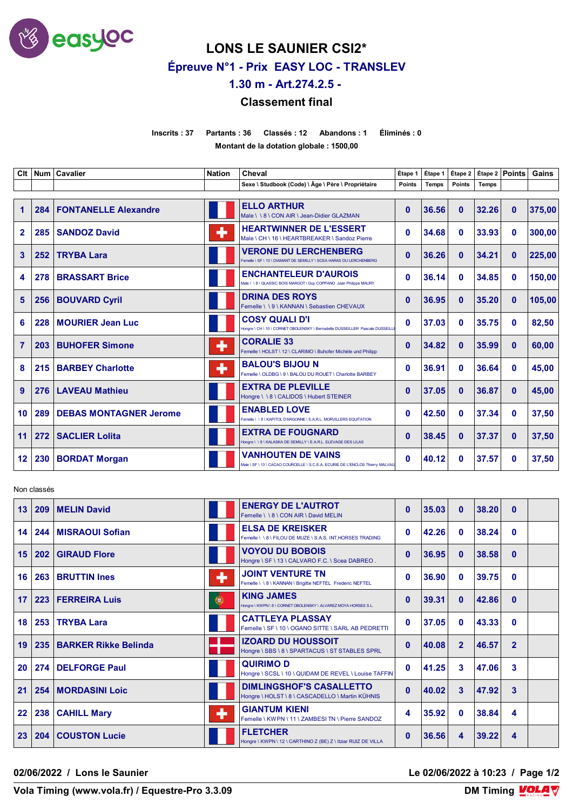

**LONS LE SAUNIER CSI2\***

**Épreuve N°1 - Prix EASY LOC - TRANSLEV**

**1.30 m - Art.274.2.5 -** 

## **Classement final**

**Inscrits : 37 Partants : 36 Classés : 12 Abandons : 1 Éliminés : 0 Montant de la dotation globale : 1500,00**

| Clt            |     | Num   Cavalier                | <b>Nation</b> | Cheval                                                                                                     | Étape 1       | Étape 1      |               | $É$ tape 2 $  É$ tape 2 $ $ Points |              | Gains  |
|----------------|-----|-------------------------------|---------------|------------------------------------------------------------------------------------------------------------|---------------|--------------|---------------|------------------------------------|--------------|--------|
|                |     |                               |               | Sexe \ Studbook (Code) \ Âge \ Père \ Propriétaire                                                         | <b>Points</b> | <b>Temps</b> | <b>Points</b> | Temps                              |              |        |
| 1              | 284 | <b>FONTANELLE Alexandre</b>   |               | <b>ELLO ARTHUR</b><br>Male \ \ 8 \ CON AIR \ Jean-Didier GLAZMAN                                           | $\bf{0}$      | 36.56        | $\mathbf{0}$  | 32.26                              | $\mathbf{0}$ | 375,00 |
| $\mathbf{2}$   | 285 | <b>SANDOZ David</b>           | ۰             | <b>HEARTWINNER DE L'ESSERT</b><br>Male \ CH \ 16 \ HEARTBREAKER \ Sandoz Pierre                            | $\mathbf{0}$  | 34.68        | $\mathbf{0}$  | 33.93                              | 0            | 300,00 |
| 3              | 252 | <b>TRYBA Lara</b>             |               | <b>VERONE DU LERCHENBERG</b><br>Femelle \ SF \ 13 \ DIAMANT DE SEMILLY \ SCEA HARAS DU LERCHENBERG         | $\mathbf{0}$  | 36.26        | $\mathbf{0}$  | 34.21                              | $\mathbf{0}$ | 225,00 |
| 4              | 278 | <b>BRASSART Brice</b>         |               | <b>ENCHANTELEUR D'AUROIS</b><br>Male \ \ 8 \ QLASSIC BOIS MARGOT \ Guy COPPANO Jean Philippe MAURY         | 0             | 36.14        | $\mathbf{0}$  | 34.85                              | 0            | 150,00 |
| 5              | 256 | <b>BOUVARD Cyril</b>          |               | <b>DRINA DES ROYS</b><br>Femelle \\9\KANNAN\Sebastien CHEVAUX                                              | $\mathbf{0}$  | 36.95        | $\mathbf{0}$  | 35.20                              | $\bf{0}$     | 105,00 |
| 6              | 228 | <b>MOURIER Jean Luc</b>       |               | <b>COSY QUALI D'I</b><br>Hongre \ CH \ 10 \ CORNET OBOLENSKY \ Bernadette DUSSEILLER Pascale DUSSEILL      | $\bf{0}$      | 37.03        | $\mathbf{0}$  | 35.75                              | 0            | 82,50  |
| $\overline{7}$ | 203 | <b>BUHOFER Simone</b>         | ٠             | <b>CORALIE 33</b><br>Femelle \ HOLST \ 12 \ CLARIMO \ Buhofer Michèle und Philipp                          | $\mathbf{0}$  | 34.82        | $\mathbf{0}$  | 35.99                              | $\mathbf{0}$ | 60,00  |
| 8              | 215 | <b>BARBEY Charlotte</b>       | ٠             | <b>BALOU'S BIJOU N</b><br>Femelle \ OLDBG \ 9 \ BALOU DU ROUET \ Charlotte BARBEY                          | 0             | 36.91        | 0             | 36.64                              | 0            | 45,00  |
| 9              | 276 | <b>LAVEAU Mathieu</b>         |               | <b>EXTRA DE PLEVILLE</b><br>Hongre \ \ 8 \ CALIDOS \ Hubert STEINER                                        | $\mathbf{0}$  | 37.05        | $\mathbf{0}$  | 36.87                              | $\bf{0}$     | 45.00  |
| 10             | 289 | <b>DEBAS MONTAGNER Jerome</b> |               | <b>ENABLED LOVE</b><br>Femelle \\8\KAPITOLD'ARGONNE\S.A.R.L. MORVILLERS EQUITATION                         | $\mathbf{0}$  | 42.50        | $\mathbf{0}$  | 37.34                              | 0            | 37.50  |
| 11             | 272 | <b>SACLIER Lolita</b>         |               | <b>EXTRA DE FOUGNARD</b><br>Hongre \\8\KALASKA DE SEMILLY\E.A.R.L. ELEVAGE DES LILAS                       | $\mathbf{0}$  | 38.45        | $\mathbf{0}$  | 37.37                              | $\mathbf{0}$ | 37,50  |
| 12             | 230 | <b>BORDAT Morgan</b>          |               | <b>VANHOUTEN DE VAINS</b><br>Male \ SF \ 13 \ CACAO COURCELLE \ S.C.E.A. ECURIE DE L'ENCLOS Thierry MALVAU | 0             | 40.12        | $\mathbf{0}$  | 37.57                              | 0            | 37,50  |

Non classés

| 13 | 209 | <b>MELIN David</b>          |   | <b>ENERGY DE L'AUTROT</b><br>Femelle \ \ 8 \ CON AIR \ David MELIN                   | 0        | 35.03 | $\mathbf{0}$ | 38.20 | $\mathbf{0}$   |  |
|----|-----|-----------------------------|---|--------------------------------------------------------------------------------------|----------|-------|--------------|-------|----------------|--|
| 14 | 244 | MISRAOUI Sofian             |   | <b>ELSA DE KREISKER</b><br>Femelle \\8\FILOU DE MUZE \S.A.S. INT.HORSES TRADING      | $\bf{0}$ | 42.26 | 0            | 38.24 | $\Omega$       |  |
| 15 | 202 | <b>GIRAUD Flore</b>         |   | <b>VOYOU DU BOBOIS</b><br>Hongre \ SF \ 13 \ CALVARO F.C. \ Scea DABREO.             | $\bf{0}$ | 36.95 | $\bf{0}$     | 38.58 | $\Omega$       |  |
| 16 | 263 | <b>BRUTTIN Ines</b>         | ۰ | <b>JOINT VENTURE TN</b><br>Femelle \ \ 8 \ KANNAN \ Brigitte NEFTEL Frederic NEFTEL  | $\bf{0}$ | 36.90 | $\mathbf{0}$ | 39.75 | $\mathbf{0}$   |  |
| 17 | 223 | <b>FERREIRA Luis</b>        | 0 | <b>KING JAMES</b><br>Hongre \ KWPN \ 8 \ CORNET OBOLENSKY \ ALVAREZ MOYA HORSES S.L. | $\bf{0}$ | 39.31 | $\mathbf{0}$ | 42.86 | $\Omega$       |  |
| 18 |     | 253   TRYBA Lara            |   | <b>CATTLEYA PLASSAY</b><br>Femelle \ SF \ 10 \ OGANO SITTE \ SARL AB PEDRETTI        | $\bf{0}$ | 37.05 | $\mathbf{0}$ | 43.33 | $\mathbf{0}$   |  |
| 19 | 235 | <b>BARKER Rikke Belinda</b> |   | <b>IZOARD DU HOUSSOIT</b><br>Hongre \ SBS \ 8 \ SPARTACUS \ ST STABLES SPRL          | 0        | 40.08 | $\mathbf{2}$ | 46.57 | $\overline{2}$ |  |
| 20 | 274 | <b>DELFORGE Paul</b>        |   | <b>QUIRIMO D</b><br>Hongre \ SCSL \ 10 \ QUIDAM DE REVEL \ Louise TAFFIN             | $\bf{0}$ | 41.25 | 3            | 47.06 | 3              |  |
| 21 | 254 | <b>MORDASINI Loic</b>       |   | <b>DIMLINGSHOF'S CASALLETTO</b><br>Hongre \ HOLST \ 8 \ CASCADELLO \ Martin KÜHNIS   | 0        | 40.02 | 3            | 47.92 | 3              |  |
| 22 | 238 | <b>CAHILL Mary</b>          | ٠ | <b>GIANTUM KIENI</b><br>Femelle \ KWPN \ 11 \ ZAMBESI TN \ Pierre SANDOZ             | 4        | 35.92 | $\Omega$     | 38.84 | 4              |  |
| 23 | 204 | <b>COUSTON Lucie</b>        |   | <b>FLETCHER</b><br>Hongre \ KWPN \ 12 \ CARTHINO Z (BE) Z \ Itziar RUIZ DE VILLA     | $\bf{0}$ | 36.56 | 4            | 39.22 | 4              |  |

**02/06/2022 / Lons le Saunier Le 02/06/2022 à 10:23 / Page 1/2**

**Vola Timing (www.vola.fr) / Equestre-Pro 3.3.09** 

**DM Timing VOLA V**